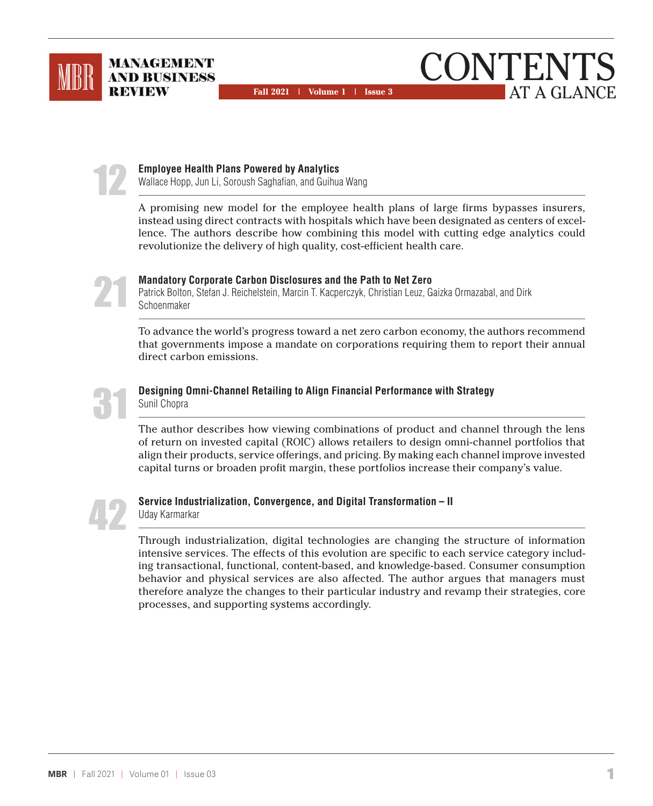





#### **Employee Health Plans Powered by Analytics**

Wallace Hopp, Jun Li, Soroush Saghafian, and Guihua Wang

A promising new model for the employee health plans of large firms bypasses insurers, instead using direct contracts with hospitals which have been designated as centers of excellence. The authors describe how combining this model with cutting edge analytics could revolutionize the delivery of high quality, cost-efficient health care.



#### **Mandatory Corporate Carbon Disclosures and the Path to Net Zero**

Patrick Bolton, Stefan J. Reichelstein, Marcin T. Kacperczyk, Christian Leuz, Gaizka Ormazabal, and Dirk Schoenmaker

To advance the world's progress toward a net zero carbon economy, the authors recommend that governments impose a mandate on corporations requiring them to report their annual direct carbon emissions.



#### **Designing Omni-Channel Retailing to Align Financial Performance with Strategy** Sunil Chopra

The author describes how viewing combinations of product and channel through the lens of return on invested capital (ROIC) allows retailers to design omni-channel portfolios that align their products, service offerings, and pricing. By making each channel improve invested capital turns or broaden profit margin, these portfolios increase their company's value.



#### **Service Industrialization, Convergence, and Digital Transformation – II**  Uday Karmarkar

Through industrialization, digital technologies are changing the structure of information intensive services. The effects of this evolution are specific to each service category including transactional, functional, content-based, and knowledge-based. Consumer consumption behavior and physical services are also affected. The author argues that managers must therefore analyze the changes to their particular industry and revamp their strategies, core processes, and supporting systems accordingly.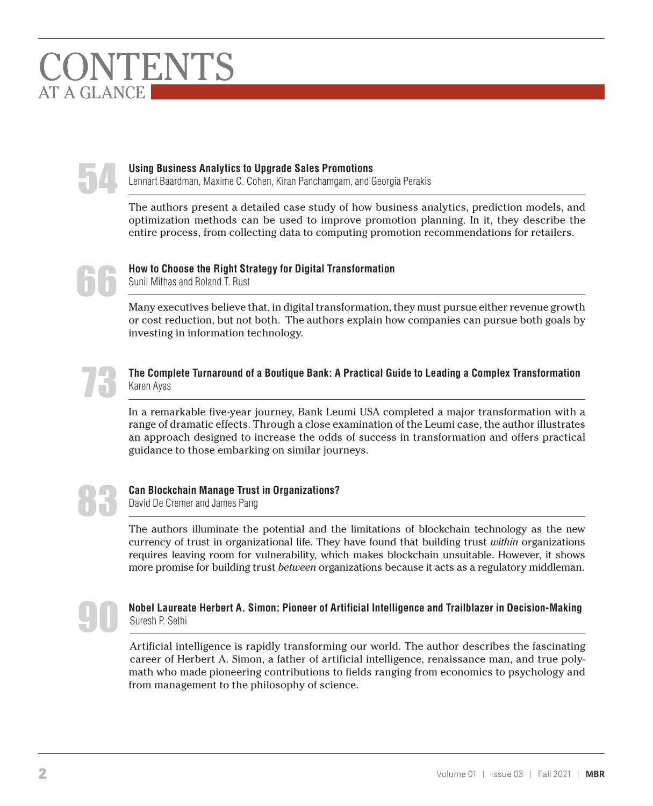# ONTENTS AT A GLANCE



#### **Using Business Analytics to Upgrade Sales Promotions**

Lennart Baardman, Maxime C. Cohen, Kiran Panchamgam, and Georgia Perakis

The authors present a detailed case study of how business analytics, prediction models, and optimization methods can be used to improve promotion planning. In it, they describe the entire process, from collecting data to computing promotion recommendations for retailers.



## **How to Choose the Right Strategy for Digital Transformation**

Sunil Mithas and Roland T. Rust

Many executives believe that, in digital transformation, they must pursue either revenue growth or cost reduction, but not both. The authors explain how companies can pursue both goals by investing in information technology.



#### **The Complete Turnaround of a Boutique Bank: A Practical Guide to Leading a Complex Transformation** Karen Ayas

In a remarkable five-year journey, Bank Leumi USA completed a major transformation with a range of dramatic effects. Through a close examination of the Leumi case, the author illustrates an approach designed to increase the odds of success in transformation and offers practical guidance to those embarking on similar journeys.



## **Can Blockchain Manage Trust in Organizations?**

David De Cremer and James Pang

The authors illuminate the potential and the limitations of blockchain technology as the new currency of trust in organizational life. They have found that building trust *within* organizations requires leaving room for vulnerability, which makes blockchain unsuitable. However, it shows more promise for building trust *between* organizations because it acts as a regulatory middleman.



## **Nobel Laureate Herbert A. Simon: Pioneer of Artificial Intelligence and Trailblazer in Decision-Making** Suresh P. Sethi

Artificial intelligence is rapidly transforming our world. The author describes the fascinating career of Herbert A. Simon, a father of artificial intelligence, renaissance man, and true polymath who made pioneering contributions to fields ranging from economics to psychology and from management to the philosophy of science.